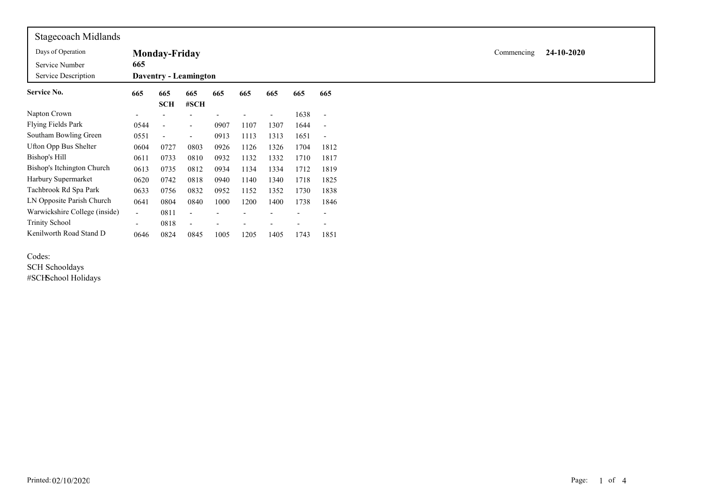| <b>Stagecoach Midlands</b>            |                          |                          |                              |      |      |                          |      |                          |
|---------------------------------------|--------------------------|--------------------------|------------------------------|------|------|--------------------------|------|--------------------------|
| Days of Operation                     |                          | <b>Monday-Friday</b>     |                              |      |      |                          |      |                          |
| Service Number<br>Service Description | 665                      |                          | <b>Daventry - Leamington</b> |      |      |                          |      |                          |
| <b>Service No.</b>                    | 665                      | 665<br><b>SCH</b>        | 665<br>#SCH                  | 665  | 665  | 665                      | 665  | 665                      |
| Napton Crown                          | ٠                        |                          |                              |      |      | $\overline{\phantom{a}}$ | 1638 | $\overline{\phantom{a}}$ |
| <b>Flying Fields Park</b>             | 0544                     | $\overline{\phantom{0}}$ | $\overline{\phantom{a}}$     | 0907 | 1107 | 1307                     | 1644 | $\overline{\phantom{a}}$ |
| Southam Bowling Green                 | 0551                     | $\blacksquare$           | $\overline{\phantom{a}}$     | 0913 | 1113 | 1313                     | 1651 | $\overline{\phantom{a}}$ |
| <b>Ufton Opp Bus Shelter</b>          | 0604                     | 0727                     | 0803                         | 0926 | 1126 | 1326                     | 1704 | 1812                     |
| Bishop's Hill                         | 0611                     | 0733                     | 0810                         | 0932 | 1132 | 1332                     | 1710 | 1817                     |
| Bishop's Itchington Church            | 0613                     | 0735                     | 0812                         | 0934 | 1134 | 1334                     | 1712 | 1819                     |
| Harbury Supermarket                   | 0620                     | 0742                     | 0818                         | 0940 | 1140 | 1340                     | 1718 | 1825                     |
| Tachbrook Rd Spa Park                 | 0633                     | 0756                     | 0832                         | 0952 | 1152 | 1352                     | 1730 | 1838                     |
| LN Opposite Parish Church             | 0641                     | 0804                     | 0840                         | 1000 | 1200 | 1400                     | 1738 | 1846                     |
| Warwickshire College (inside)         | $\overline{\phantom{0}}$ | 0811                     |                              |      |      |                          |      |                          |
| <b>Trinity School</b>                 | $\overline{\phantom{a}}$ | 0818                     | $\overline{\phantom{a}}$     |      |      |                          |      |                          |
| Kenilworth Road Stand D               | 0646                     | 0824                     | 0845                         | 1005 | 1205 | 1405                     | 1743 | 1851                     |

## Codes:

SCH Schooldays #SCHSchool Holidays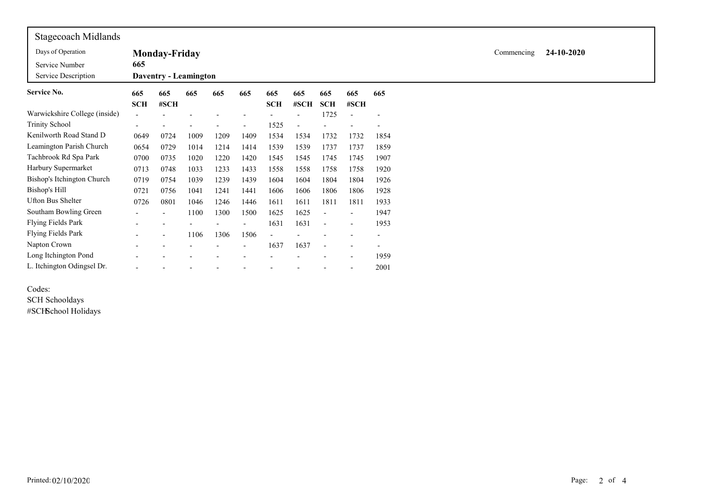| <b>Stagecoach Midlands</b>    |            |                              |                          |      |      |            |      |                |                          |      |  |
|-------------------------------|------------|------------------------------|--------------------------|------|------|------------|------|----------------|--------------------------|------|--|
| Days of Operation             |            | <b>Monday-Friday</b>         | Commencing<br>24-10-2020 |      |      |            |      |                |                          |      |  |
| Service Number                | 665        |                              |                          |      |      |            |      |                |                          |      |  |
| Service Description           |            | <b>Daventry - Leamington</b> |                          |      |      |            |      |                |                          |      |  |
| Service No.                   | 665        | 665                          | 665                      | 665  | 665  | 665        | 665  | 665            | 665                      | 665  |  |
|                               | <b>SCH</b> | #SCH                         |                          |      |      | <b>SCH</b> | #SCH | <b>SCH</b>     | #SCH                     |      |  |
| Warwickshire College (inside) |            |                              |                          |      |      |            |      | 1725           |                          |      |  |
| <b>Trinity School</b>         |            |                              |                          |      |      | 1525       |      |                |                          |      |  |
| Kenilworth Road Stand D       | 0649       | 0724                         | 1009                     | 1209 | 1409 | 1534       | 1534 | 1732           | 1732                     | 1854 |  |
| Leamington Parish Church      | 0654       | 0729                         | 1014                     | 1214 | 1414 | 1539       | 1539 | 1737           | 1737                     | 1859 |  |
| Tachbrook Rd Spa Park         | 0700       | 0735                         | 1020                     | 1220 | 1420 | 1545       | 1545 | 1745           | 1745                     | 1907 |  |
| Harbury Supermarket           | 0713       | 0748                         | 1033                     | 1233 | 1433 | 1558       | 1558 | 1758           | 1758                     | 1920 |  |
| Bishop's Itchington Church    | 0719       | 0754                         | 1039                     | 1239 | 1439 | 1604       | 1604 | 1804           | 1804                     | 1926 |  |
| Bishop's Hill                 | 0721       | 0756                         | 1041                     | 1241 | 1441 | 1606       | 1606 | 1806           | 1806                     | 1928 |  |
| Ufton Bus Shelter             | 0726       | 0801                         | 1046                     | 1246 | 1446 | 1611       | 1611 | 1811           | 1811                     | 1933 |  |
| Southam Bowling Green         |            | ٠                            | 1100                     | 1300 | 1500 | 1625       | 1625 | $\overline{a}$ | $\overline{\phantom{a}}$ | 1947 |  |
| <b>Flying Fields Park</b>     |            |                              |                          |      |      | 1631       | 1631 | $\blacksquare$ | $\overline{\phantom{a}}$ | 1953 |  |
| <b>Flying Fields Park</b>     |            | $\overline{a}$               | 1106                     | 1306 | 1506 |            |      |                |                          |      |  |
| Napton Crown                  |            |                              |                          |      |      | 1637       | 1637 | $\overline{a}$ |                          |      |  |
| Long Itchington Pond          |            |                              |                          |      |      |            |      |                |                          | 1959 |  |
| L. Itchington Odingsel Dr.    |            |                              |                          |      |      |            |      |                | $\overline{\phantom{a}}$ | 2001 |  |
|                               |            |                              |                          |      |      |            |      |                |                          |      |  |

Codes: SCH Schooldays #SCHSchool Holidays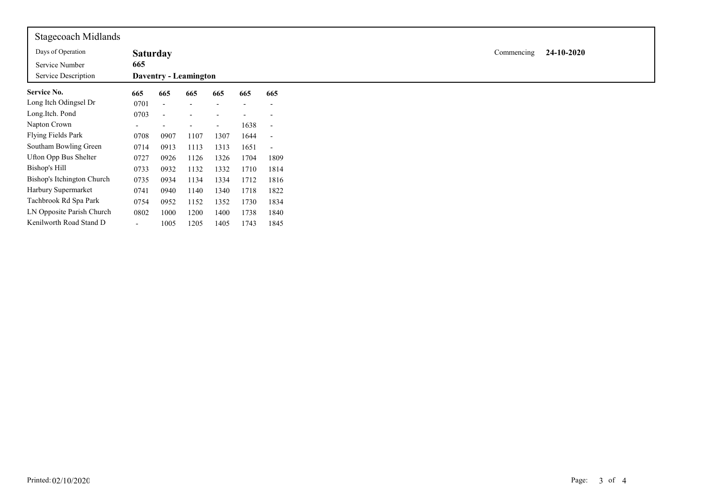| Stagecoach Midlands        |                          |                              |      |                          |      |                          |
|----------------------------|--------------------------|------------------------------|------|--------------------------|------|--------------------------|
| Days of Operation          | <b>Saturday</b>          |                              |      |                          |      |                          |
| Service Number             | 665                      |                              |      |                          |      |                          |
| Service Description        |                          | <b>Daventry - Leamington</b> |      |                          |      |                          |
| <b>Service No.</b>         | 665                      | 665                          | 665  | 665                      | 665  | 665                      |
| Long Itch Odingsel Dr      | 0701                     |                              |      |                          |      | $\overline{\phantom{a}}$ |
| Long.Itch. Pond            | 0703                     |                              |      |                          |      |                          |
| Napton Crown               | $\overline{\phantom{0}}$ |                              |      | $\overline{\phantom{a}}$ | 1638 | $\overline{\phantom{a}}$ |
| Flying Fields Park         | 0708                     | 0907                         | 1107 | 1307                     | 1644 | $\overline{\phantom{a}}$ |
| Southam Bowling Green      | 0714                     | 0913                         | 1113 | 1313                     | 1651 |                          |
| Ufton Opp Bus Shelter      | 0727                     | 0926                         | 1126 | 1326                     | 1704 | 1809                     |
| <b>Bishop's Hill</b>       | 0733                     | 0932                         | 1132 | 1332                     | 1710 | 1814                     |
| Bishop's Itchington Church | 0735                     | 0934                         | 1134 | 1334                     | 1712 | 1816                     |
| Harbury Supermarket        | 0741                     | 0940                         | 1140 | 1340                     | 1718 | 1822                     |
| Tachbrook Rd Spa Park      | 0754                     | 0952                         | 1152 | 1352                     | 1730 | 1834                     |
| LN Opposite Parish Church  | 0802                     | 1000                         | 1200 | 1400                     | 1738 | 1840                     |
| Kenilworth Road Stand D    | $\overline{\phantom{a}}$ | 1005                         | 1205 | 1405                     | 1743 | 1845                     |